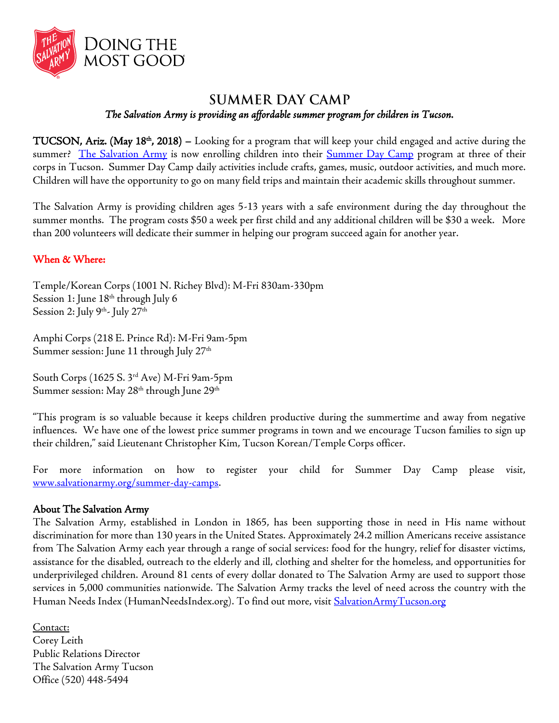

## **SUMMER DAY CAMP**

*The Salvation Army is providing an affordable summer program for children in Tucson.* 

 $TUCSON$ ,  $A$ riz. (May 18<sup>th</sup>, 2018) – Looking for a program that will keep your child engaged and active during the summer? [The Salvation Army](http://www.salvationarmytucson.org/) is now enrolling children into their [Summer Day Camp](http://www.salvationarmytucson.org/summer-day-camps) program at three of their corps in Tucson. Summer Day Camp daily activities include crafts, games, music, outdoor activities, and much more. Children will have the opportunity to go on many field trips and maintain their academic skills throughout summer.

The Salvation Army is providing children ages 5-13 years with a safe environment during the day throughout the summer months. The program costs \$50 a week per first child and any additional children will be \$30 a week. More than 200 volunteers will dedicate their summer in helping our program succeed again for another year.

## When & Where:

Temple/Korean Corps (1001 N. Richey Blvd): M-Fri 830am-330pm Session 1: June 18<sup>th</sup> through July 6 Session 2: July 9<sup>th</sup>- July 27<sup>th</sup>

Amphi Corps (218 E. Prince Rd): M-Fri 9am-5pm Summer session: June 11 through July 27 $^{\rm th}$ 

South Corps (1625 S. 3rd Ave) M-Fri 9am-5pm Summer session: May 28<sup>th</sup> through June 29<sup>th</sup>

"This program is so valuable because it keeps children productive during the summertime and away from negative influences. We have one of the lowest price summer programs in town and we encourage Tucson families to sign up their children," said Lieutenant Christopher Kim, Tucson Korean/Temple Corps officer.

For more information on how to register your child for Summer Day Camp please visit, [www.salvationarmy.org/summer-day-camps.](http://www.salvationarmy.org/summer-day-camps)

## About The Salvation Army

The Salvation Army, established in London in 1865, has been supporting those in need in His name without discrimination for more than 130 years in the United States. Approximately 24.2 million Americans receive assistance from The Salvation Army each year through a range of social services: food for the hungry, relief for disaster victims, assistance for the disabled, outreach to the elderly and ill, clothing and shelter for the homeless, and opportunities for underprivileged children. Around 81 cents of every dollar donated to The Salvation Army are used to support those services in 5,000 communities nationwide. The Salvation Army tracks the level of need across the country with the Human Needs Index (HumanNeedsIndex.org). To find out more, visit [SalvationArmyTucson.org](http://www.salvationarmytucson.org/)

Contact: Corey Leith Public Relations Director The Salvation Army Tucson Office (520) 448-5494